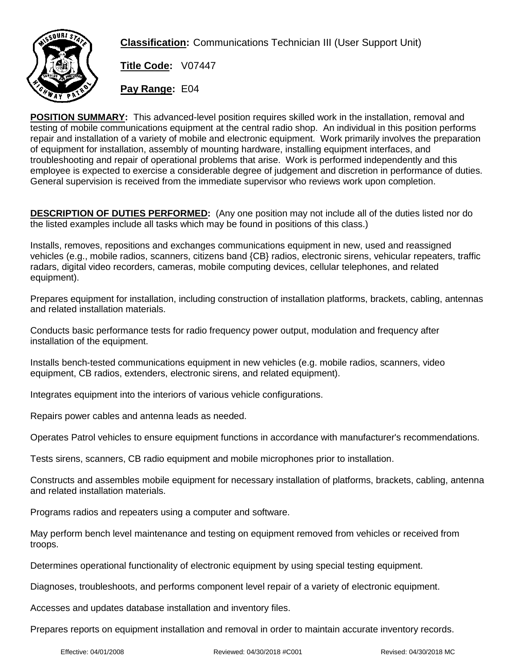

**Classification:** Communications Technician III (User Support Unit)

**Title Code:** V07447

**Pay Range:** E04

**POSITION SUMMARY:** This advanced-level position requires skilled work in the installation, removal and testing of mobile communications equipment at the central radio shop. An individual in this position performs repair and installation of a variety of mobile and electronic equipment. Work primarily involves the preparation of equipment for installation, assembly of mounting hardware, installing equipment interfaces, and troubleshooting and repair of operational problems that arise. Work is performed independently and this employee is expected to exercise a considerable degree of judgement and discretion in performance of duties. General supervision is received from the immediate supervisor who reviews work upon completion.

**DESCRIPTION OF DUTIES PERFORMED:** (Any one position may not include all of the duties listed nor do the listed examples include all tasks which may be found in positions of this class.)

Installs, removes, repositions and exchanges communications equipment in new, used and reassigned vehicles (e.g., mobile radios, scanners, citizens band {CB} radios, electronic sirens, vehicular repeaters, traffic radars, digital video recorders, cameras, mobile computing devices, cellular telephones, and related equipment).

Prepares equipment for installation, including construction of installation platforms, brackets, cabling, antennas and related installation materials.

Conducts basic performance tests for radio frequency power output, modulation and frequency after installation of the equipment.

Installs bench-tested communications equipment in new vehicles (e.g. mobile radios, scanners, video equipment, CB radios, extenders, electronic sirens, and related equipment).

Integrates equipment into the interiors of various vehicle configurations.

Repairs power cables and antenna leads as needed.

Operates Patrol vehicles to ensure equipment functions in accordance with manufacturer's recommendations.

Tests sirens, scanners, CB radio equipment and mobile microphones prior to installation.

Constructs and assembles mobile equipment for necessary installation of platforms, brackets, cabling, antenna and related installation materials.

Programs radios and repeaters using a computer and software.

May perform bench level maintenance and testing on equipment removed from vehicles or received from troops.

Determines operational functionality of electronic equipment by using special testing equipment.

Diagnoses, troubleshoots, and performs component level repair of a variety of electronic equipment.

Accesses and updates database installation and inventory files.

Prepares reports on equipment installation and removal in order to maintain accurate inventory records.

Effective: 04/01/2008 Reviewed: 04/30/2018 #C001 Revised: 04/30/2018 MC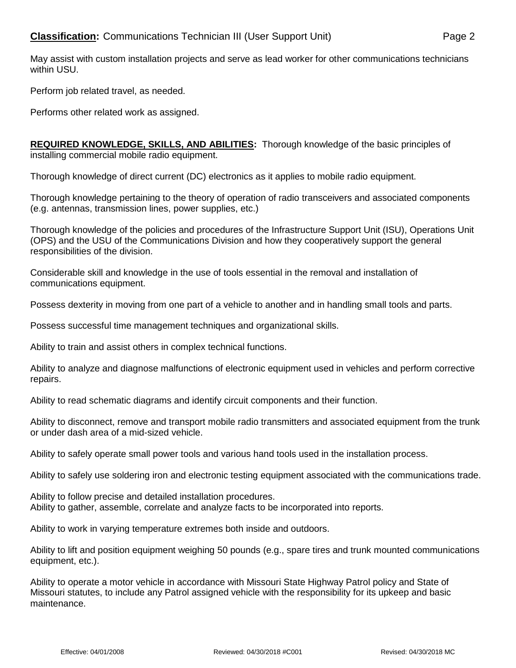May assist with custom installation projects and serve as lead worker for other communications technicians within USU.

Perform job related travel, as needed.

Performs other related work as assigned.

**REQUIRED KNOWLEDGE, SKILLS, AND ABILITIES:** Thorough knowledge of the basic principles of installing commercial mobile radio equipment.

Thorough knowledge of direct current (DC) electronics as it applies to mobile radio equipment.

Thorough knowledge pertaining to the theory of operation of radio transceivers and associated components (e.g. antennas, transmission lines, power supplies, etc.)

Thorough knowledge of the policies and procedures of the Infrastructure Support Unit (ISU), Operations Unit (OPS) and the USU of the Communications Division and how they cooperatively support the general responsibilities of the division.

Considerable skill and knowledge in the use of tools essential in the removal and installation of communications equipment.

Possess dexterity in moving from one part of a vehicle to another and in handling small tools and parts.

Possess successful time management techniques and organizational skills.

Ability to train and assist others in complex technical functions.

Ability to analyze and diagnose malfunctions of electronic equipment used in vehicles and perform corrective repairs.

Ability to read schematic diagrams and identify circuit components and their function.

Ability to disconnect, remove and transport mobile radio transmitters and associated equipment from the trunk or under dash area of a mid-sized vehicle.

Ability to safely operate small power tools and various hand tools used in the installation process.

Ability to safely use soldering iron and electronic testing equipment associated with the communications trade.

Ability to follow precise and detailed installation procedures. Ability to gather, assemble, correlate and analyze facts to be incorporated into reports.

Ability to work in varying temperature extremes both inside and outdoors.

Ability to lift and position equipment weighing 50 pounds (e.g., spare tires and trunk mounted communications equipment, etc.).

Ability to operate a motor vehicle in accordance with Missouri State Highway Patrol policy and State of Missouri statutes, to include any Patrol assigned vehicle with the responsibility for its upkeep and basic maintenance.